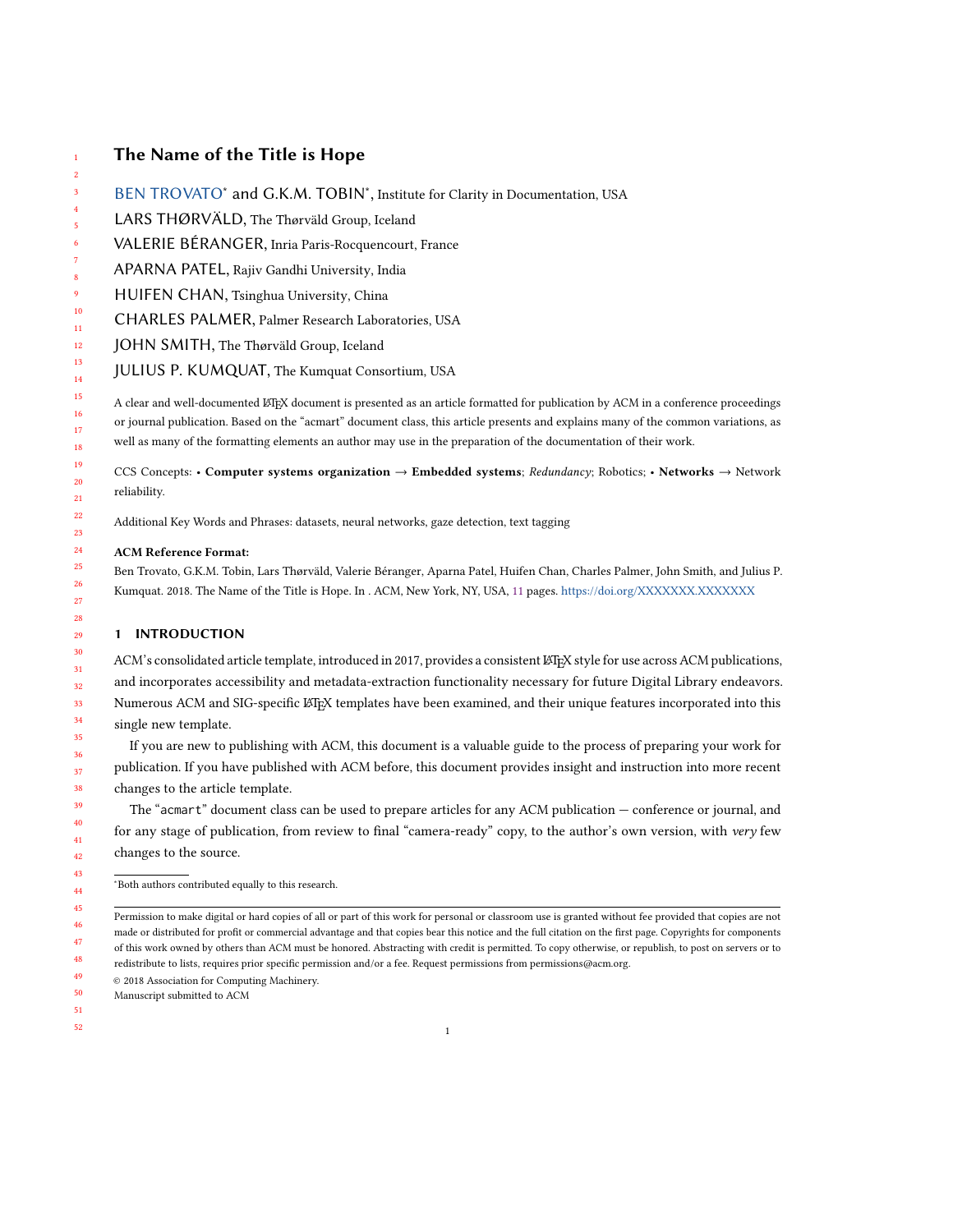# The Name of the Title is Hope

- [BEN TROVATO](HTTPS://ORCID.ORG/1234-5678-9012)\* and G.K.M. TOBIN\*, Institute for Clarity in Documentation, USA
- LARS THØRVÄLD, The Thørväld Group, Iceland
- VALERIE BÉRANGER, Inria Paris-Rocquencourt, France
- APARNA PATEL, Rajiv Gandhi University, India
- HUIFEN CHAN, Tsinghua University, China
- CHARLES PALMER, Palmer Research Laboratories, USA
- JOHN SMITH, The Thørväld Group, Iceland
- JULIUS P. KUMQUAT, The Kumquat Consortium, USA

A clear and well-documented LTEX document is presented as an article formatted for publication by ACM in a conference proceedings or journal publication. Based on the "acmart" document class, this article presents and explains many of the common variations, as well as many of the formatting elements an author may use in the preparation of the documentation of their work.

CCS Concepts: • Computer systems organization → Embedded systems; Redundancy; Robotics; • Networks → Network reliability.

Additional Key Words and Phrases: datasets, neural networks, gaze detection, text tagging

## ACM Reference Format:

Ben Trovato, G.K.M. Tobin, Lars Thørväld, Valerie Béranger, Aparna Patel, Huifen Chan, Charles Palmer, John Smith, and Julius P. Kumquat. 2018. The Name of the Title is Hope. In . ACM, New York, NY, USA, [11](#page-10-0) pages. <https://doi.org/XXXXXXX.XXXXXXX>

# 1 INTRODUCTION

ACM's consolidated article template, introduced in 2017, provides a consistent LATEX style for use across ACM publications, and incorporates accessibility and metadata-extraction functionality necessary for future Digital Library endeavors. Numerous ACM and SIG-specific LATEX templates have been examined, and their unique features incorporated into this single new template.

If you are new to publishing with ACM, this document is a valuable guide to the process of preparing your work for publication. If you have published with ACM before, this document provides insight and instruction into more recent changes to the article template.

The "acmart" document class can be used to prepare articles for any ACM publication — conference or journal, and for any stage of publication, from review to final "camera-ready" copy, to the author's own version, with very few changes to the source.

<sup>∗</sup>Both authors contributed equally to this research.

49 © 2018 Association for Computing Machinery.

50 Manuscript submitted to ACM

Permission to make digital or hard copies of all or part of this work for personal or classroom use is granted without fee provided that copies are not made or distributed for profit or commercial advantage and that copies bear this notice and the full citation on the first page. Copyrights for components of this work owned by others than ACM must be honored. Abstracting with credit is permitted. To copy otherwise, or republish, to post on servers or to redistribute to lists, requires prior specific permission and/or a fee. Request permissions from permissions@acm.org.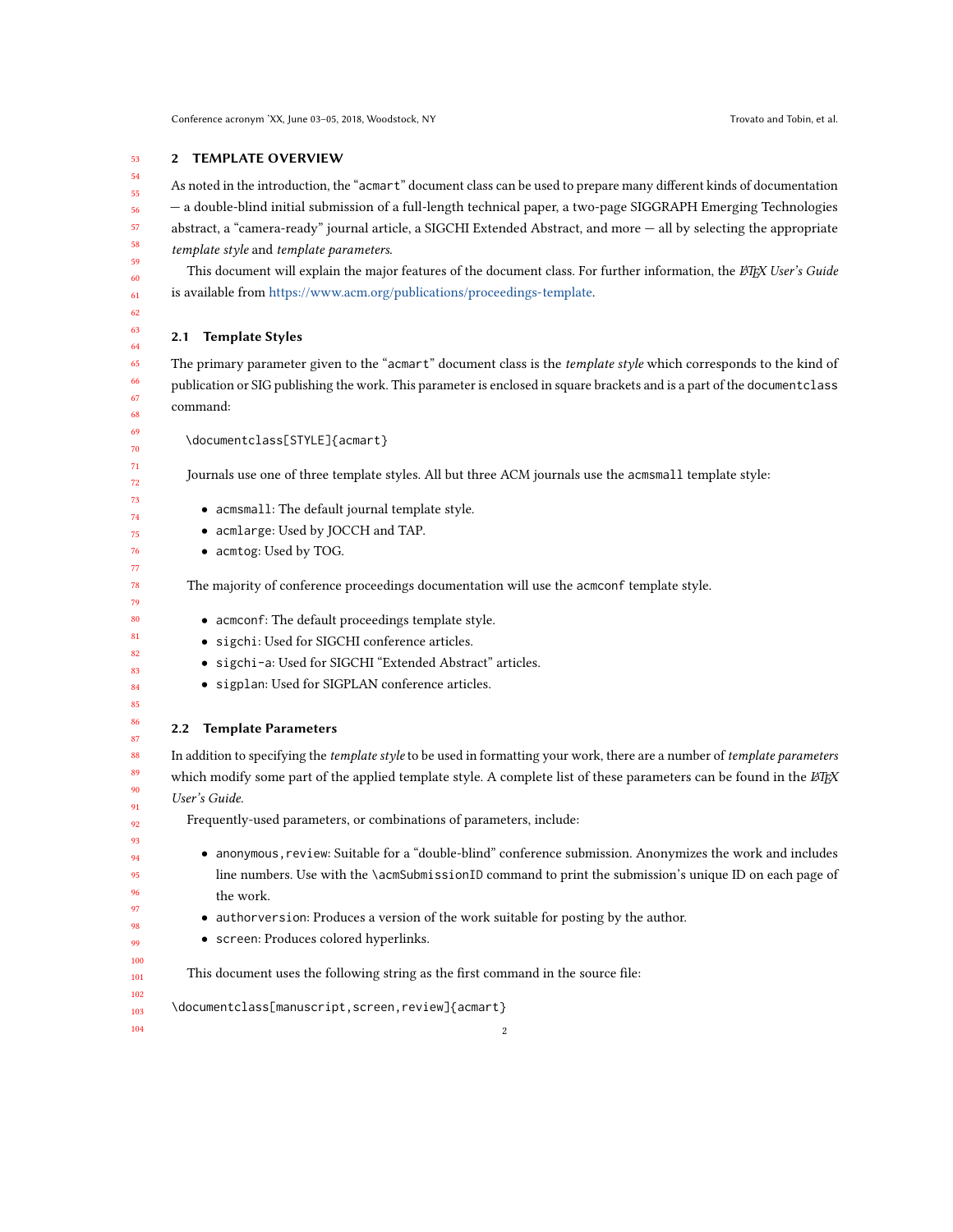#### 2 TEMPLATE OVERVIEW

As noted in the introduction, the "acmart" document class can be used to prepare many different kinds of documentation — a double-blind initial submission of a full-length technical paper, a two-page SIGGRAPH Emerging Technologies abstract, a "camera-ready" journal article, a SIGCHI Extended Abstract, and more — all by selecting the appropriate template style and template parameters.

This document will explain the major features of the document class. For further information, the LATEX User's Guide is available from [https://www.acm.org/publications/proceedings-template.](https://www.acm.org/publications/proceedings-template)

# 2.1 Template Styles

The primary parameter given to the "acmart" document class is the template style which corresponds to the kind of publication or SIG publishing the work. This parameter is enclosed in square brackets and is a part of the documentclass command:

```
\documentclass[STYLE]{acmart}
```
Journals use one of three template styles. All but three ACM journals use the acmsmall template style:

- acmsmall: The default journal template style.
- acmlarge: Used by JOCCH and TAP.
- acmtog: Used by TOG.

The majority of conference proceedings documentation will use the acmconf template style.

- acmconf: The default proceedings template style.
- sigchi: Used for SIGCHI conference articles.
- sigchi-a: Used for SIGCHI "Extended Abstract" articles.
- sigplan: Used for SIGPLAN conference articles.

## 2.2 Template Parameters

In addition to specifying the *template style* to be used in formatting your work, there are a number of *template parameters* which modify some part of the applied template style. A complete list of these parameters can be found in the  $\cancel{ETPX}$ User's Guide.

Frequently-used parameters, or combinations of parameters, include:

• anonymous,review: Suitable for a "double-blind" conference submission. Anonymizes the work and includes line numbers. Use with the \acmSubmissionID command to print the submission's unique ID on each page of the work.

- authorversion: Produces a version of the work suitable for posting by the author.
- screen: Produces colored hyperlinks.

This document uses the following string as the first command in the source file:

```
\documentclass[manuscript,screen,review]{acmart}
```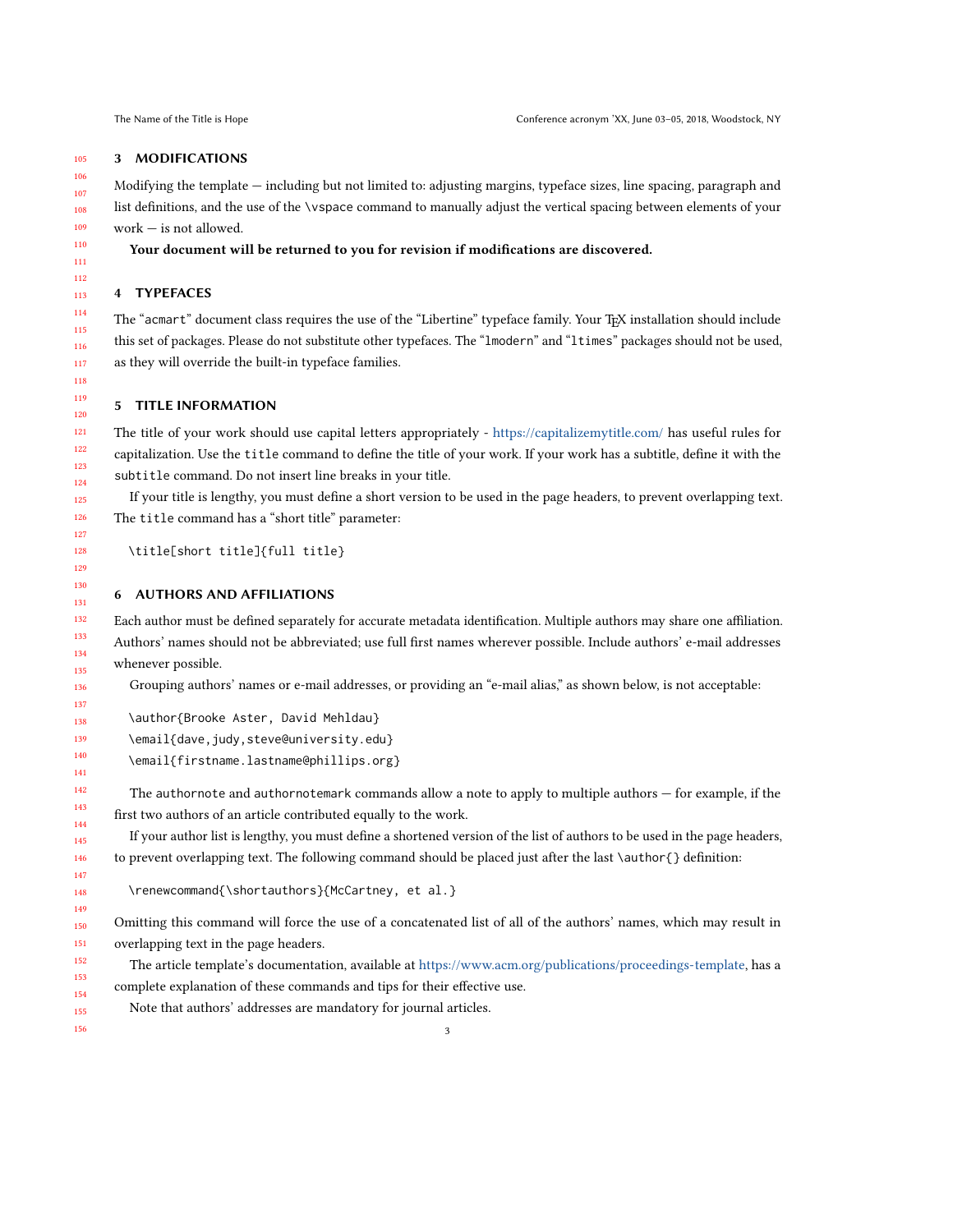#### 3 MODIFICATIONS

Modifying the template — including but not limited to: adjusting margins, typeface sizes, line spacing, paragraph and list definitions, and the use of the \vspace command to manually adjust the vertical spacing between elements of your work — is not allowed.

Your document will be returned to you for revision if modifications are discovered.

## 4 TYPEFACES

The "acmart" document class requires the use of the "Libertine" typeface family. Your TFX installation should include this set of packages. Please do not substitute other typefaces. The "lmodern" and "ltimes" packages should not be used, as they will override the built-in typeface families.

### 5 TITLE INFORMATION

The title of your work should use capital letters appropriately - <https://capitalizemytitle.com/> has useful rules for capitalization. Use the title command to define the title of your work. If your work has a subtitle, define it with the subtitle command. Do not insert line breaks in your title.

If your title is lengthy, you must define a short version to be used in the page headers, to prevent overlapping text. The title command has a "short title" parameter:

\title[short title]{full title}

## 6 AUTHORS AND AFFILIATIONS

Each author must be defined separately for accurate metadata identification. Multiple authors may share one affiliation. Authors' names should not be abbreviated; use full first names wherever possible. Include authors' e-mail addresses whenever possible.

Grouping authors' names or e-mail addresses, or providing an "e-mail alias," as shown below, is not acceptable:

\author{Brooke Aster, David Mehldau}

\email{dave,judy,steve@university.edu}

\email{firstname.lastname@phillips.org}

The authornote and authornotemark commands allow a note to apply to multiple authors — for example, if the first two authors of an article contributed equally to the work.

If your author list is lengthy, you must define a shortened version of the list of authors to be used in the page headers, to prevent overlapping text. The following command should be placed just after the last \author{} definition:

\renewcommand{\shortauthors}{McCartney, et al.}

Omitting this command will force the use of a concatenated list of all of the authors' names, which may result in overlapping text in the page headers.

The article template's documentation, available at [https://www.acm.org/publications/proceedings-template,](https://www.acm.org/publications/proceedings-template) has a complete explanation of these commands and tips for their effective use.

Note that authors' addresses are mandatory for journal articles.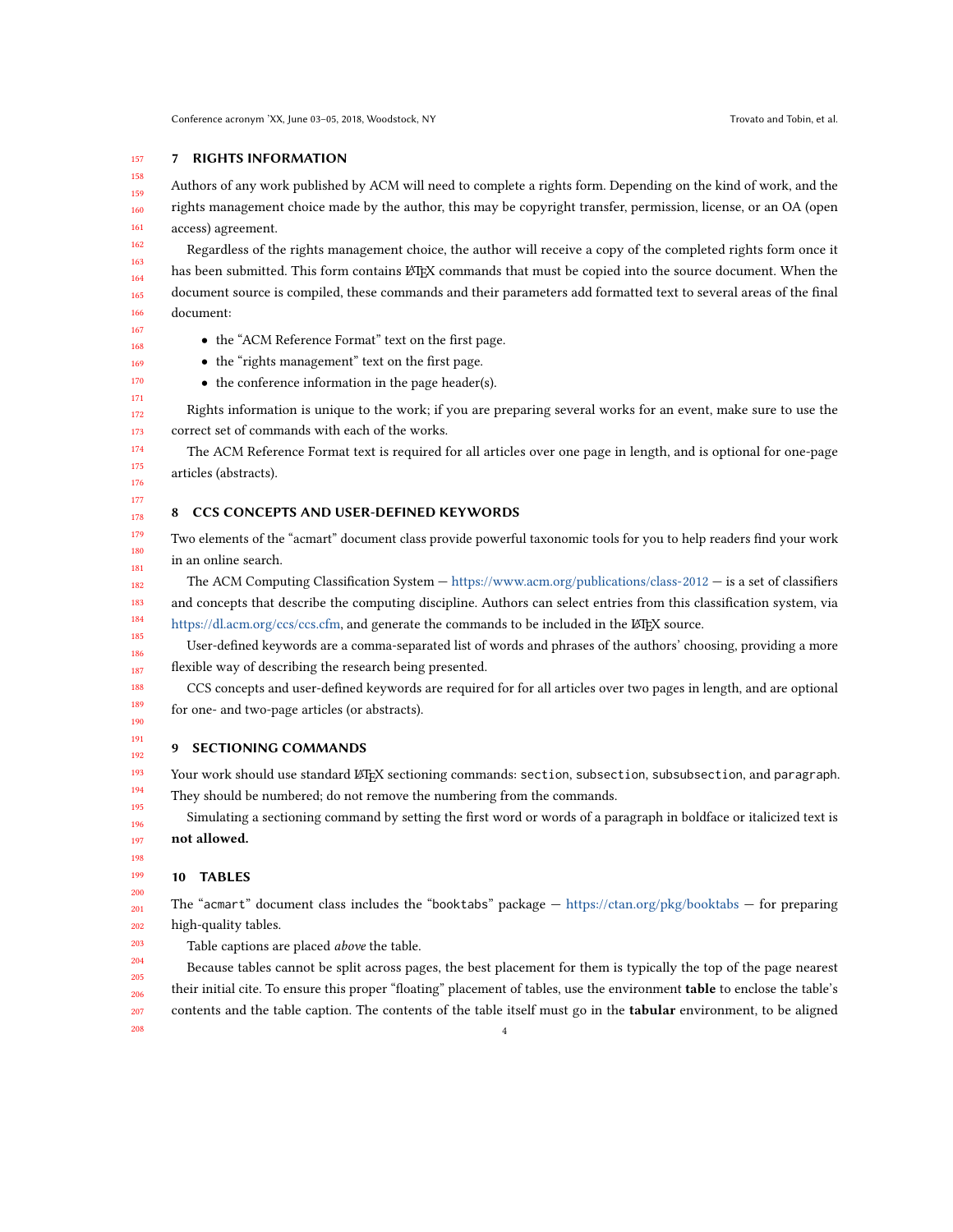#### 157 7 RIGHTS INFORMATION

158 159 160 161 Authors of any work published by ACM will need to complete a rights form. Depending on the kind of work, and the rights management choice made by the author, this may be copyright transfer, permission, license, or an OA (open access) agreement.

Regardless of the rights management choice, the author will receive a copy of the completed rights form once it has been submitted. This form contains LATEX commands that must be copied into the source document. When the document source is compiled, these commands and their parameters add formatted text to several areas of the final document:

- the "ACM Reference Format" text on the first page.
- the "rights management" text on the first page.
- the conference information in the page header(s).

Rights information is unique to the work; if you are preparing several works for an event, make sure to use the correct set of commands with each of the works.

The ACM Reference Format text is required for all articles over one page in length, and is optional for one-page articles (abstracts).

## 8 CCS CONCEPTS AND USER-DEFINED KEYWORDS

Two elements of the "acmart" document class provide powerful taxonomic tools for you to help readers find your work in an online search.

The ACM Computing Classification System — <https://www.acm.org/publications/class-2012> — is a set of classifiers and concepts that describe the computing discipline. Authors can select entries from this classification system, via [https://dl.acm.org/ccs/ccs.cfm,](https://dl.acm.org/ccs/ccs.cfm) and generate the commands to be included in the LATEX source.

User-defined keywords are a comma-separated list of words and phrases of the authors' choosing, providing a more flexible way of describing the research being presented.

CCS concepts and user-defined keywords are required for for all articles over two pages in length, and are optional for one- and two-page articles (or abstracts).

## 9 SECTIONING COMMANDS

Your work should use standard LATEX sectioning commands: section, subsection, subsubsection, and paragraph. They should be numbered; do not remove the numbering from the commands.

Simulating a sectioning command by setting the first word or words of a paragraph in boldface or italicized text is not allowed.

203

208

## 10 TABLES

201 202 The "acmart" document class includes the "booktabs" package — <https://ctan.org/pkg/booktabs> — for preparing high-quality tables.

Table captions are placed above the table.

204 205 206 207 Because tables cannot be split across pages, the best placement for them is typically the top of the page nearest their initial cite. To ensure this proper "floating" placement of tables, use the environment **table** to enclose the table's contents and the table caption. The contents of the table itself must go in the tabular environment, to be aligned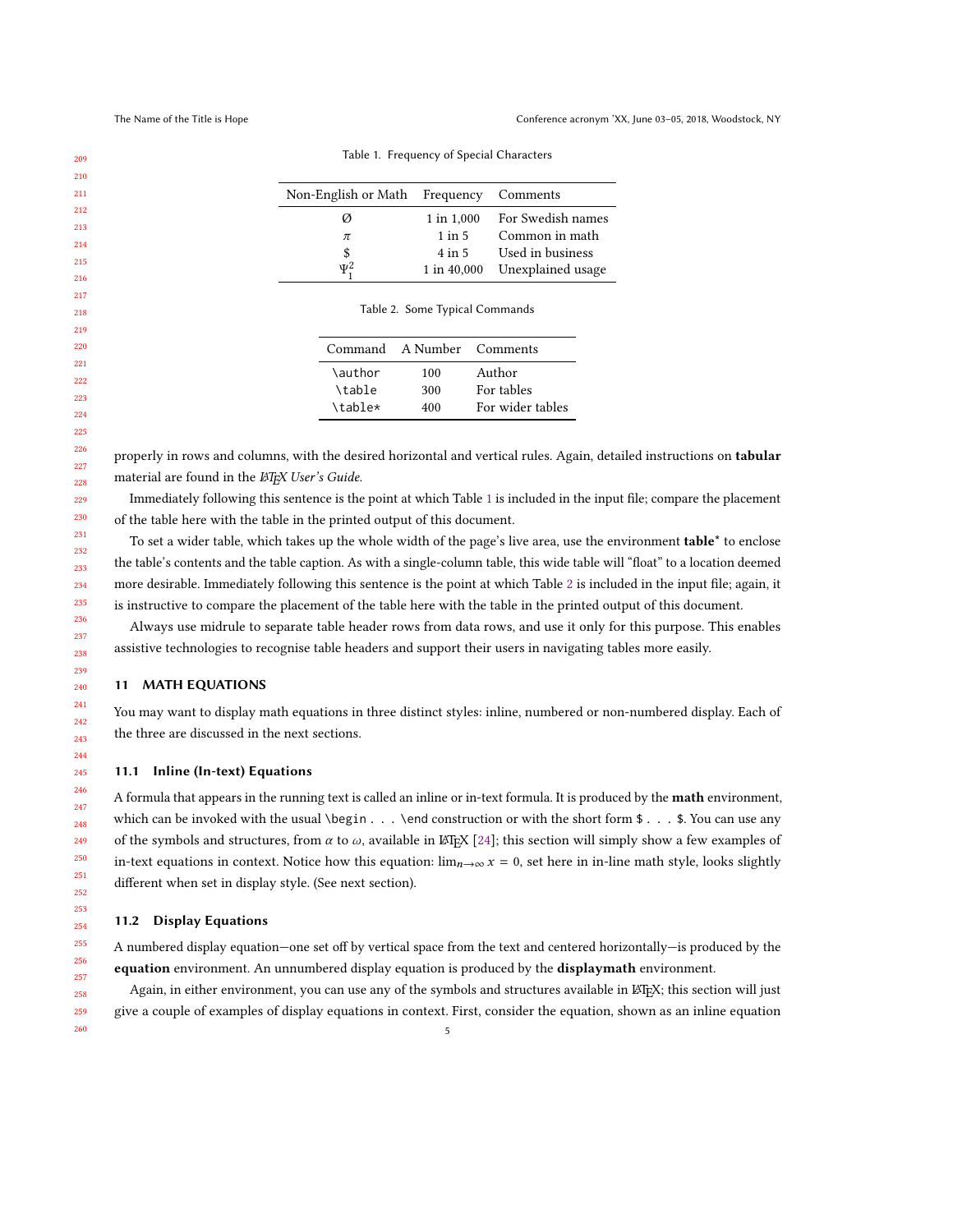<span id="page-4-1"></span><span id="page-4-0"></span>

| Non-English or Math | Frequency   | Comments          |
|---------------------|-------------|-------------------|
| Ø                   | 1 in 1,000  | For Swedish names |
| π                   | $1$ in $5$  | Common in math    |
| \$                  | $4$ in $5$  | Used in business  |
| $\Psi^2$            | 1 in 40,000 | Unexplained usage |

Table 1. Frequency of Special Characters

| properly in rows and columns, with the desired horizontal and vertical rules. Again, detailed instructions on tabular |  |
|-----------------------------------------------------------------------------------------------------------------------|--|
| material are found in the <i>LAT<sub>E</sub>X</i> User's Guide.                                                       |  |

\author 100 Author \table 300 For tables \table\* 400 For wider tables

Immediately following this sentence is the point at which Table [1](#page-4-0) is included in the input file; compare the placement of the table here with the table in the printed output of this document.

To set a wider table, which takes up the whole width of the page's live area, use the environment **table**<sup>\*</sup> to enclose the table's contents and the table caption. As with a single-column table, this wide table will "float" to a location deemed more desirable. Immediately following this sentence is the point at which Table [2](#page-4-1) is included in the input file; again, it is instructive to compare the placement of the table here with the table in the printed output of this document.

Always use midrule to separate table header rows from data rows, and use it only for this purpose. This enables assistive technologies to recognise table headers and support their users in navigating tables more easily.

## 11 MATH EQUATIONS

You may want to display math equations in three distinct styles: inline, numbered or non-numbered display. Each of the three are discussed in the next sections.

## 11.1 Inline (In-text) Equations

A formula that appears in the running text is called an inline or in-text formula. It is produced by the math environment, which can be invoked with the usual  $\begin{bmatrix} \begin{array}{c} \end{array} \end{bmatrix}$  and construction or with the short form \$ . . . \$. You can use any of the symbols and structures, from  $\alpha$  to  $\omega$ , available in LATEX [\[24\]](#page-9-0); this section will simply show a few examples of in-text equations in context. Notice how this equation:  $\lim_{n\to\infty} x = 0$ , set here in in-line math style, looks slightly different when set in display style. (See next section).

### 11.2 Display Equations

A numbered display equation—one set off by vertical space from the text and centered horizontally—is produced by the equation environment. An unnumbered display equation is produced by the displaymath environment.

Again, in either environment, you can use any of the symbols and structures available in ETEX; this section will just give a couple of examples of display equations in context. First, consider the equation, shown as an inline equation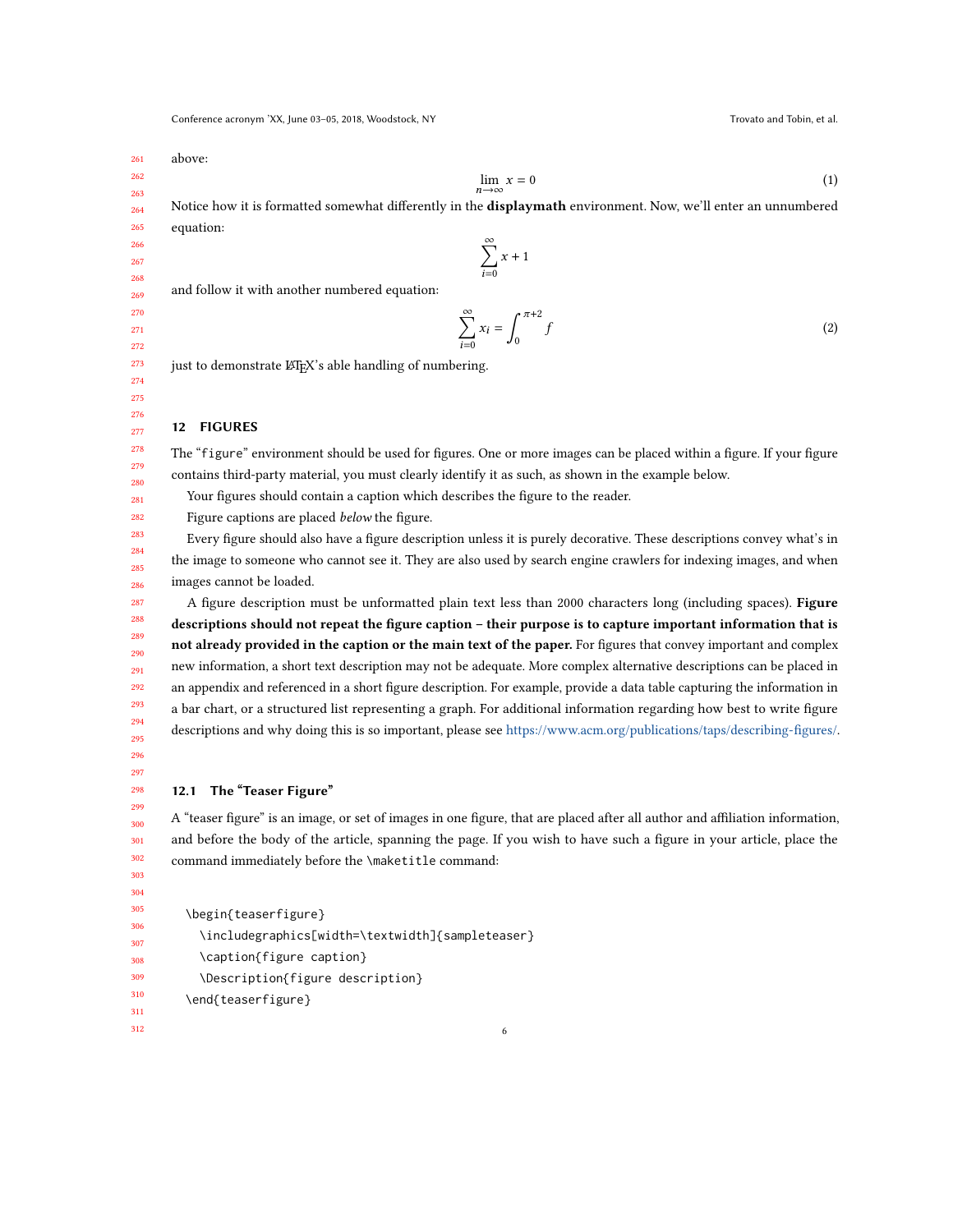Conference acronym 'XX, June 03-05, 2018, Woodstock, NY Trovato and Tobin, et al.

261 above:

262 263

$$
\lim_{n \to \infty} x = 0 \tag{1}
$$

264 Notice how it is formatted somewhat differently in the displaymath environment. Now, we'll enter an unnumbered equation:

> $\sum_{i=1}^{\infty}$  $\overline{i=0}$  $x + 1$

and follow it with another numbered equation:

$$
\sum_{i=0}^{\infty} x_i = \int_0^{\pi+2} f \tag{2}
$$

just to demonstrate LATEX's able handling of numbering.

## 12 FIGURES

The "figure" environment should be used for figures. One or more images can be placed within a figure. If your figure contains third-party material, you must clearly identify it as such, as shown in the example below.

Your figures should contain a caption which describes the figure to the reader.

Figure captions are placed below the figure.

Every figure should also have a figure description unless it is purely decorative. These descriptions convey what's in the image to someone who cannot see it. They are also used by search engine crawlers for indexing images, and when images cannot be loaded.

A figure description must be unformatted plain text less than 2000 characters long (including spaces). Figure descriptions should not repeat the figure caption – their purpose is to capture important information that is not already provided in the caption or the main text of the paper. For figures that convey important and complex new information, a short text description may not be adequate. More complex alternative descriptions can be placed in an appendix and referenced in a short figure description. For example, provide a data table capturing the information in a bar chart, or a structured list representing a graph. For additional information regarding how best to write figure descriptions and why doing this is so important, please see [https://www.acm.org/publications/taps/describing-figures/.](https://www.acm.org/publications/taps/describing-figures/)

295 296 297

## 12.1 The "Teaser Figure"

A "teaser figure" is an image, or set of images in one figure, that are placed after all author and affiliation information, and before the body of the article, spanning the page. If you wish to have such a figure in your article, place the command immediately before the \maketitle command:

6

```
\begin{teaserfigure}
```
\includegraphics[width=\textwidth]{sampleteaser}

\caption{figure caption}

```
\Description{figure description}
```
\end{teaserfigure}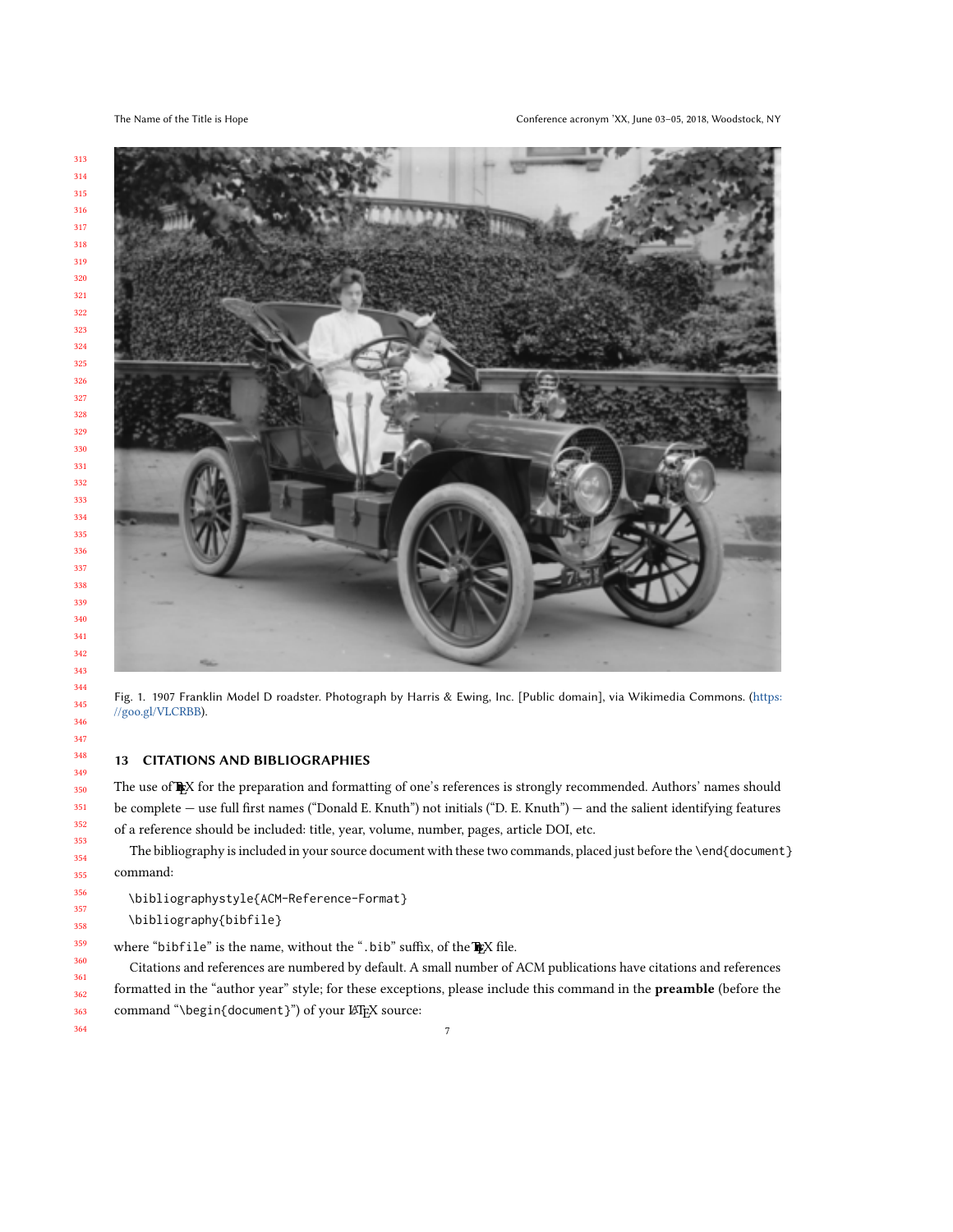

Fig. 1. 1907 Franklin Model D roadster. Photograph by Harris & Ewing, Inc. [Public domain], via Wikimedia Commons. ([https:](https://goo.gl/VLCRBB) [//goo.gl/VLCRBB](https://goo.gl/VLCRBB)).

## 13 CITATIONS AND BIBLIOGRAPHIES

The use of FRX for the preparation and formatting of one's references is strongly recommended. Authors' names should be complete — use full first names ("Donald E. Knuth") not initials ("D. E. Knuth") — and the salient identifying features of a reference should be included: title, year, volume, number, pages, article DOI, etc.

The bibliography is included in your source document with these two commands, placed just before the \end{document} command:

\bibliographystyle{ACM-Reference-Format} \bibliography{bibfile}

where "bibfile" is the name, without the ".bib" suffix, of the  $\mathbb{R}$ X file.

Citations and references are numbered by default. A small number of ACM publications have citations and references formatted in the "author year" style; for these exceptions, please include this command in the preamble (before the command "\begin{document}") of your LATEX source: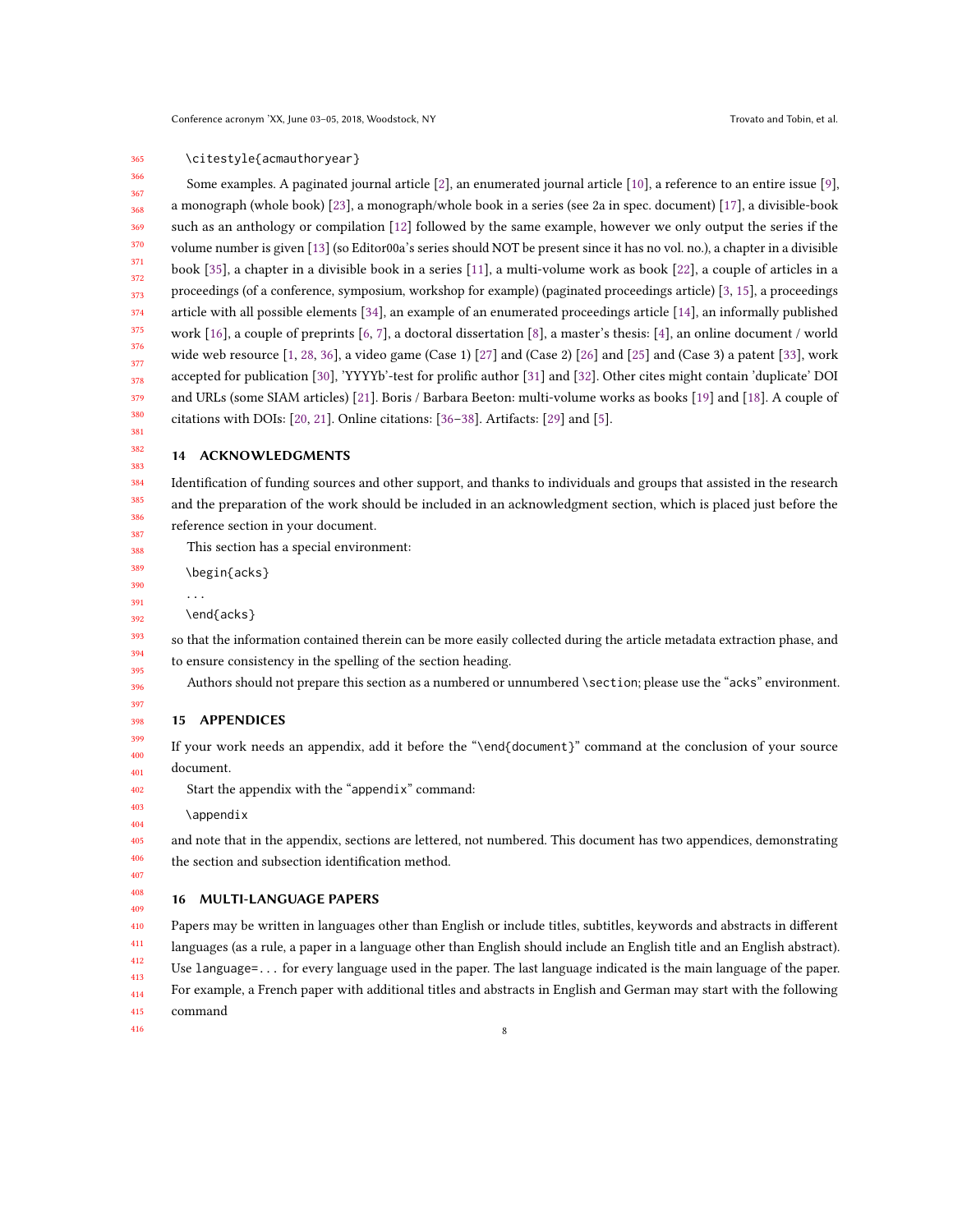#### 365 \citestyle{acmauthoryear}

366 367 368 369 370 371 372 373 374 375 376 377 378 379 380 381 Some examples. A paginated journal article [\[2\]](#page-8-0), an enumerated journal article [\[10\]](#page-8-1), a reference to an entire issue [\[9\]](#page-8-2), a monograph (whole book) [\[23\]](#page-9-1), a monograph/whole book in a series (see 2a in spec. document) [\[17\]](#page-9-2), a divisible-book such as an anthology or compilation [\[12\]](#page-8-3) followed by the same example, however we only output the series if the volume number is given [\[13\]](#page-8-4) (so Editor00a's series should NOT be present since it has no vol. no.), a chapter in a divisible book [\[35\]](#page-9-3), a chapter in a divisible book in a series [\[11\]](#page-8-5), a multi-volume work as book [\[22\]](#page-9-4), a couple of articles in a proceedings (of a conference, symposium, workshop for example) (paginated proceedings article) [\[3,](#page-8-6) [15\]](#page-9-5), a proceedings article with all possible elements [\[34\]](#page-9-6), an example of an enumerated proceedings article [\[14\]](#page-8-7), an informally published work [\[16\]](#page-9-7), a couple of preprints [\[6,](#page-8-8) [7\]](#page-8-9), a doctoral dissertation [\[8\]](#page-8-10), a master's thesis: [\[4\]](#page-8-11), an online document / world wide web resource [\[1,](#page-8-12) [28,](#page-9-8) [36\]](#page-9-9), a video game (Case 1) [\[27\]](#page-9-10) and (Case 2) [\[26\]](#page-9-11) and [\[25\]](#page-9-12) and (Case 3) a patent [\[33\]](#page-9-13), work accepted for publication [\[30\]](#page-9-14), 'YYYYb'-test for prolific author [\[31\]](#page-9-15) and [\[32\]](#page-9-16). Other cites might contain 'duplicate' DOI and URLs (some SIAM articles) [\[21\]](#page-9-17). Boris / Barbara Beeton: multi-volume works as books [\[19\]](#page-9-18) and [\[18\]](#page-9-19). A couple of citations with DOIs: [\[20,](#page-9-20) [21\]](#page-9-17). Online citations: [\[36–](#page-9-9)[38\]](#page-9-21). Artifacts: [\[29\]](#page-9-22) and [\[5\]](#page-8-13).

### 382 383 14 ACKNOWLEDGMENTS

384 Identification of funding sources and other support, and thanks to individuals and groups that assisted in the research and the preparation of the work should be included in an acknowledgment section, which is placed just before the reference section in your document.

This section has a special environment:

\begin{acks}

\end{acks}

...

so that the information contained therein can be more easily collected during the article metadata extraction phase, and to ensure consistency in the spelling of the section heading.

Authors should not prepare this section as a numbered or unnumbered \section; please use the "acks" environment.

## 15 APPENDICES

399 If your work needs an appendix, add it before the "\end{document}" command at the conclusion of your source document.

Start the appendix with the "appendix" command:

\appendix

and note that in the appendix, sections are lettered, not numbered. This document has two appendices, demonstrating the section and subsection identification method.

## 16 MULTI-LANGUAGE PAPERS

410 411 412 Papers may be written in languages other than English or include titles, subtitles, keywords and abstracts in different languages (as a rule, a paper in a language other than English should include an English title and an English abstract). Use language=... for every language used in the paper. The last language indicated is the main language of the paper.

413 414 For example, a French paper with additional titles and abstracts in English and German may start with the following

8

415 command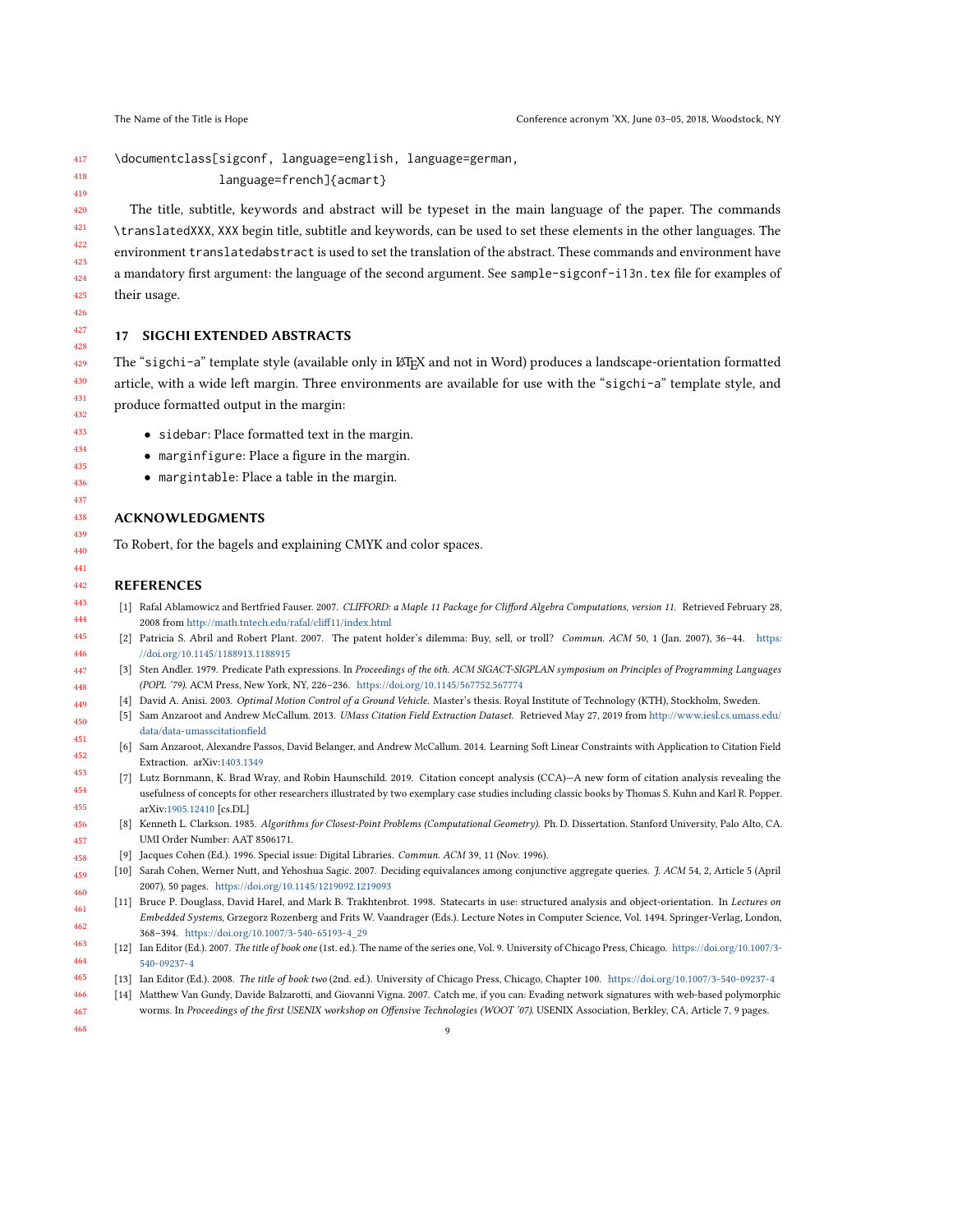417 418 \documentclass[sigconf, language=english, language=german, language=french]{acmart}

The title, subtitle, keywords and abstract will be typeset in the main language of the paper. The commands \translatedXXX, XXX begin title, subtitle and keywords, can be used to set these elements in the other languages. The environment translatedabstract is used to set the translation of the abstract. These commands and environment have a mandatory first argument: the language of the second argument. See sample-sigconf-i13n.tex file for examples of their usage.

## 17 SIGCHI EXTENDED ABSTRACTS

The "sigchi-a" template style (available only in LATEX and not in Word) produces a landscape-orientation formatted article, with a wide left margin. Three environments are available for use with the "sigchi-a" template style, and produce formatted output in the margin:

- sidebar: Place formatted text in the margin.
- marginfigure: Place a figure in the margin.
- margintable: Place a table in the margin.

## ACKNOWLEDGMENTS

To Robert, for the bagels and explaining CMYK and color spaces.

## REFERENCES

<span id="page-8-2"></span><span id="page-8-1"></span>458

- <span id="page-8-12"></span>[1] Rafal Ablamowicz and Bertfried Fauser. 2007. CLIFFORD: a Maple 11 Package for Clifford Algebra Computations, version 11. Retrieved February 28, 2008 from <http://math.tntech.edu/rafal/cliff11/index.html>
- <span id="page-8-0"></span>[2] Patricia S. Abril and Robert Plant. 2007. The patent holder's dilemma: Buy, sell, or troll? Commun. ACM 50, 1 (Jan. 2007), 36–44. [https:](https://doi.org/10.1145/1188913.1188915) [//doi.org/10.1145/1188913.1188915](https://doi.org/10.1145/1188913.1188915)
- <span id="page-8-6"></span>[3] Sten Andler. 1979. Predicate Path expressions. In Proceedings of the 6th. ACM SIGACT-SIGPLAN symposium on Principles of Programming Languages (POPL '79). ACM Press, New York, NY, 226–236. <https://doi.org/10.1145/567752.567774>
- <span id="page-8-13"></span><span id="page-8-11"></span>[4] David A. Anisi. 2003. Optimal Motion Control of a Ground Vehicle. Master's thesis. Royal Institute of Technology (KTH), Stockholm, Sweden.
- [5] Sam Anzaroot and Andrew McCallum. 2013. UMass Citation Field Extraction Dataset. Retrieved May 27, 2019 from [http://www.iesl.cs.umass.edu/](http://www.iesl.cs.umass.edu/data/data-umasscitationfield) [data/data-umasscitationfield](http://www.iesl.cs.umass.edu/data/data-umasscitationfield)
- <span id="page-8-8"></span>[6] Sam Anzaroot, Alexandre Passos, David Belanger, and Andrew McCallum. 2014. Learning Soft Linear Constraints with Application to Citation Field Extraction. arXiv[:1403.1349](https://arxiv.org/abs/1403.1349)
- <span id="page-8-10"></span><span id="page-8-9"></span>[7] Lutz Bornmann, K. Brad Wray, and Robin Haunschild. 2019. Citation concept analysis (CCA)—A new form of citation analysis revealing the usefulness of concepts for other researchers illustrated by two exemplary case studies including classic books by Thomas S. Kuhn and Karl R. Popper. arXiv[:1905.12410](https://arxiv.org/abs/1905.12410) [cs.DL]
- 456 457 [8] Kenneth L. Clarkson. 1985. Algorithms for Closest-Point Problems (Computational Geometry). Ph. D. Dissertation. Stanford University, Palo Alto, CA. UMI Order Number: AAT 8506171.
	- [9] Jacques Cohen (Ed.). 1996. Special issue: Digital Libraries. Commun. ACM 39, 11 (Nov. 1996).
- 459 460 [10] Sarah Cohen, Werner Nutt, and Yehoshua Sagic. 2007. Deciding equivalances among conjunctive aggregate queries. *J. ACM* 54, 2, Article 5 (April 2007), 50 pages. <https://doi.org/10.1145/1219092.1219093>
- <span id="page-8-5"></span>461 462 [11] Bruce P. Douglass, David Harel, and Mark B. Trakhtenbrot. 1998. Statecarts in use: structured analysis and object-orientation. In Lectures on Embedded Systems, Grzegorz Rozenberg and Frits W. Vaandrager (Eds.). Lecture Notes in Computer Science, Vol. 1494. Springer-Verlag, London, 368–394. [https://doi.org/10.1007/3-540-65193-4\\_29](https://doi.org/10.1007/3-540-65193-4_29)
- <span id="page-8-3"></span>463 464 [12] Ian Editor (Ed.). 2007. The title of book one (1st. ed.). The name of the series one, Vol. 9. University of Chicago Press, Chicago. [https://doi.org/10.1007/3-](https://doi.org/10.1007/3-540-09237-4) [540-09237-4](https://doi.org/10.1007/3-540-09237-4)
- <span id="page-8-7"></span><span id="page-8-4"></span>465 [13] Ian Editor (Ed.). 2008. The title of book two (2nd. ed.). University of Chicago Press, Chicago, Chapter 100. <https://doi.org/10.1007/3-540-09237-4>
- 466 467 [14] Matthew Van Gundy, Davide Balzarotti, and Giovanni Vigna. 2007. Catch me, if you can: Evading network signatures with web-based polymorphic worms. In Proceedings of the first USENIX workshop on Offensive Technologies (WOOT '07). USENIX Association, Berkley, CA, Article 7, 9 pages.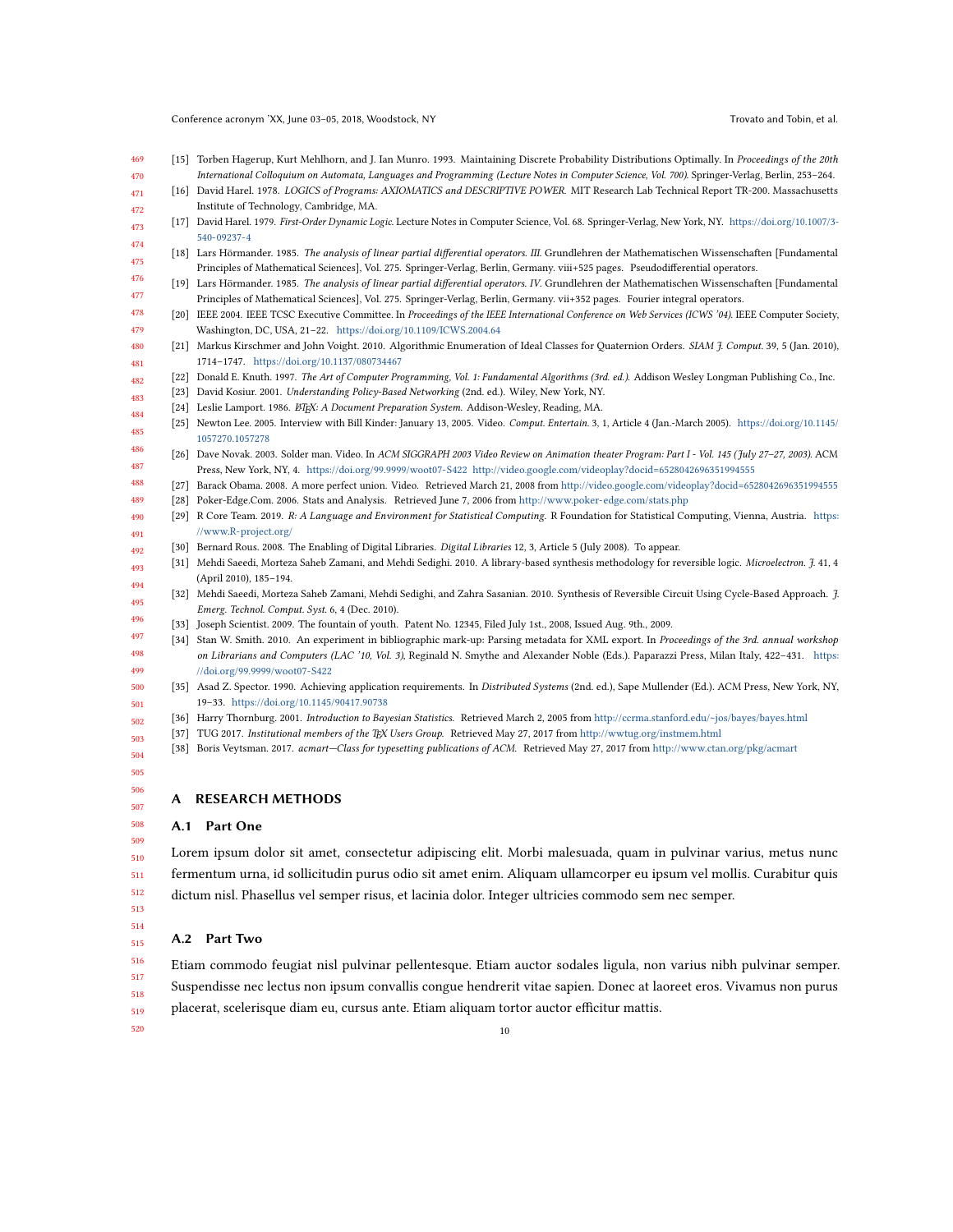- <span id="page-9-5"></span>469 470 [15] Torben Hagerup, Kurt Mehlhorn, and J. Ian Munro. 1993. Maintaining Discrete Probability Distributions Optimally. In Proceedings of the 20th International Colloquium on Automata, Languages and Programming (Lecture Notes in Computer Science, Vol. 700). Springer-Verlag, Berlin, 253–264.
- <span id="page-9-7"></span>471 472 [16] David Harel. 1978. LOGICS of Programs: AXIOMATICS and DESCRIPTIVE POWER. MIT Research Lab Technical Report TR-200. Massachusetts Institute of Technology, Cambridge, MA.
- <span id="page-9-2"></span>473 474 [17] David Harel. 1979. First-Order Dynamic Logic. Lecture Notes in Computer Science, Vol. 68. Springer-Verlag, New York, NY. [https://doi.org/10.1007/3-](https://doi.org/10.1007/3-540-09237-4) [540-09237-4](https://doi.org/10.1007/3-540-09237-4)
- <span id="page-9-19"></span>475 476 [18] Lars Hörmander. 1985. The analysis of linear partial differential operators. III. Grundlehren der Mathematischen Wissenschaften [Fundamental Principles of Mathematical Sciences], Vol. 275. Springer-Verlag, Berlin, Germany. viii+525 pages. Pseudodifferential operators.
- <span id="page-9-18"></span>477 [19] Lars Hörmander. 1985. The analysis of linear partial differential operators. IV. Grundlehren der Mathematischen Wissenschaften [Fundamental Principles of Mathematical Sciences], Vol. 275. Springer-Verlag, Berlin, Germany. vii+352 pages. Fourier integral operators.
- <span id="page-9-20"></span>478 479 [20] IEEE 2004. IEEE TCSC Executive Committee. In Proceedings of the IEEE International Conference on Web Services (ICWS '04). IEEE Computer Society, Washington, DC, USA, 21–22. <https://doi.org/10.1109/ICWS.2004.64>
- <span id="page-9-17"></span>480 481 [21] Markus Kirschmer and John Voight. 2010. Algorithmic Enumeration of Ideal Classes for Ouaternion Orders. SIAM 7. Comput. 39, 5 (Jan. 2010), 1714–1747. <https://doi.org/10.1137/080734467>
- <span id="page-9-4"></span>482 [22] Donald E. Knuth. 1997. The Art of Computer Programming, Vol. 1: Fundamental Algorithms (3rd. ed.). Addison Wesley Longman Publishing Co., Inc.
- <span id="page-9-1"></span><span id="page-9-0"></span>483 [23] David Kosiur. 2001. Understanding Policy-Based Networking (2nd. ed.). Wiley, New York, NY.
- <span id="page-9-12"></span>484 [24] Leslie Lamport. 1986. ETEX: A Document Preparation System. Addison-Wesley, Reading, MA.
- 485 486 [25] Newton Lee. 2005. Interview with Bill Kinder: January 13, 2005. Video. Comput. Entertain. 3, 1, Article 4 (Jan.-March 2005). [https://doi.org/10.1145/](https://doi.org/10.1145/1057270.1057278) [1057270.1057278](https://doi.org/10.1145/1057270.1057278)
- <span id="page-9-11"></span>487 [26] Dave Novak. 2003. Solder man. Video. In ACM SIGGRAPH 2003 Video Review on Animation theater Program: Part I - Vol. 145 (July 27–27, 2003). ACM Press, New York, NY, 4. <https://doi.org/99.9999/woot07-S422> <http://video.google.com/videoplay?docid=6528042696351994555>
- <span id="page-9-10"></span>488 [27] Barack Obama. 2008. A more perfect union. Video. Retrieved March 21, 2008 from <http://video.google.com/videoplay?docid=6528042696351994555>
- <span id="page-9-22"></span><span id="page-9-8"></span>489 [28] Poker-Edge.Com. 2006. Stats and Analysis. Retrieved June 7, 2006 from <http://www.poker-edge.com/stats.php>
- 490 491 [29] R Core Team. 2019. R: A Language and Environment for Statistical Computing. R Foundation for Statistical Computing, Vienna, Austria. [https:](https://www.R-project.org/) [//www.R-project.org/](https://www.R-project.org/)
- <span id="page-9-14"></span>492 [30] Bernard Rous. 2008. The Enabling of Digital Libraries. Digital Libraries 12, 3, Article 5 (July 2008). To appear.
- <span id="page-9-15"></span>493 494 [31] Mehdi Saeedi, Morteza Saheb Zamani, and Mehdi Sedighi. 2010. A library-based synthesis methodology for reversible logic. Microelectron. J. 41, 4 (April 2010), 185–194.
- <span id="page-9-16"></span>495 496 [32] Mehdi Saeedi, Morteza Saheb Zamani, Mehdi Sedighi, and Zahra Sasanian. 2010. Synthesis of Reversible Circuit Using Cycle-Based Approach. J. Emerg. Technol. Comput. Syst. 6, 4 (Dec. 2010).
	- [33] Joseph Scientist. 2009. The fountain of youth. Patent No. 12345, Filed July 1st., 2008, Issued Aug. 9th., 2009.
- 498 [34] Stan W. Smith. 2010. An experiment in bibliographic mark-up: Parsing metadata for XML export. In Proceedings of the 3rd. annual workshop on Librarians and Computers (LAC '10, Vol. 3), Reginald N. Smythe and Alexander Noble (Eds.). Paparazzi Press, Milan Italy, 422–431. [https:](https://doi.org/99.9999/woot07-S422) [//doi.org/99.9999/woot07-S422](https://doi.org/99.9999/woot07-S422)
- <span id="page-9-3"></span>500 501 [35] Asad Z. Spector. 1990. Achieving application requirements. In Distributed Systems (2nd. ed.), Sape Mullender (Ed.). ACM Press, New York, NY, 19–33. <https://doi.org/10.1145/90417.90738>
- <span id="page-9-9"></span>502 [36] Harry Thornburg. 2001. Introduction to Bayesian Statistics. Retrieved March 2, 2005 from <http://ccrma.stanford.edu/~jos/bayes/bayes.html>
- 503 [37] TUG 2017. Institutional members of the TEX Users Group. Retrieved May 27, 2017 from <http://wwtug.org/instmem.html>
- <span id="page-9-21"></span>504 [38] Boris Veytsman. 2017. acmart—Class for typesetting publications of ACM. Retrieved May 27, 2017 from <http://www.ctan.org/pkg/acmart>

505 506

507 508 509

<span id="page-9-13"></span><span id="page-9-6"></span>497

499

## A RESEARCH METHODS

## A.1 Part One

510 511 512 Lorem ipsum dolor sit amet, consectetur adipiscing elit. Morbi malesuada, quam in pulvinar varius, metus nunc fermentum urna, id sollicitudin purus odio sit amet enim. Aliquam ullamcorper eu ipsum vel mollis. Curabitur quis dictum nisl. Phasellus vel semper risus, et lacinia dolor. Integer ultricies commodo sem nec semper.

513 514 515

## A.2 Part Two

516 517 518 519 Etiam commodo feugiat nisl pulvinar pellentesque. Etiam auctor sodales ligula, non varius nibh pulvinar semper. Suspendisse nec lectus non ipsum convallis congue hendrerit vitae sapien. Donec at laoreet eros. Vivamus non purus placerat, scelerisque diam eu, cursus ante. Etiam aliquam tortor auctor efficitur mattis.